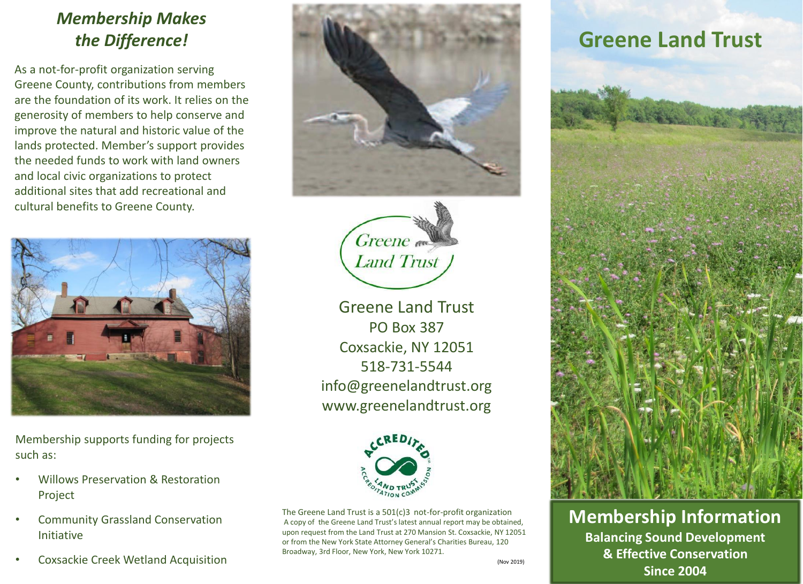## *Membership Makes*

As a not-for-profit organization serving Greene County, contributions from members are the foundation of its work. It relies on the generosity of members to help conserve and improve the natural and historic value of the lands protected. Member's support provides the needed funds to work with land owners and local civic organizations to protect additional sites that add recreational and cultural benefits to Greene County.



Membership supports funding for projects such as:

- Willows Preservation & Restoration Project
- Community Grassland Conservation Initiative
- Coxsackie Creek Wetland Acquisition





Greene Land Trust PO Box 387 Coxsackie, NY 12051 518-731-5544 info@greenelandtrust.org www.greenelandtrust.org



The Greene Land Trust is a 501(c)3 not-for-profit organization A copy of the Greene Land Trust's latest annual report may be obtained, upon request from the Land Trust at 270 Mansion St. Coxsackie, NY 12051 or from the New York State Attorney General's Charities Bureau, 120 Broadway, 3rd Floor, New York, New York 10271.

## (Nov 2019)



**Membership Information Balancing Sound Development & Effective Conservation Since 2004**